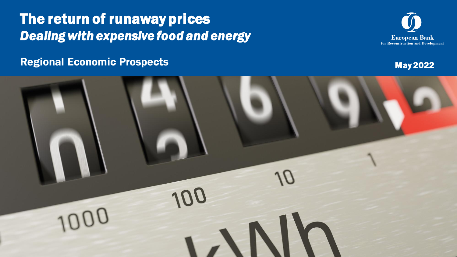# The return of runaway prices *Dealing with expensive food and energy*





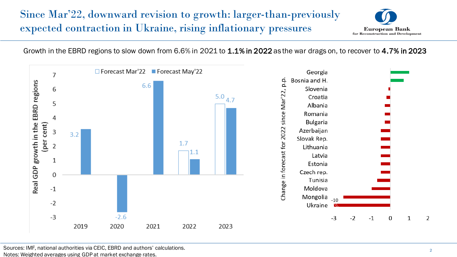# Since Mar'22, downward revision to growth: larger-than-previously expected contraction in Ukraine, rising inflationary pressures



Growth in the EBRD regions to slow down from 6.6% in 2021 to 1.1% in 2022 as the war drags on, to recover to 4.7% in 2023

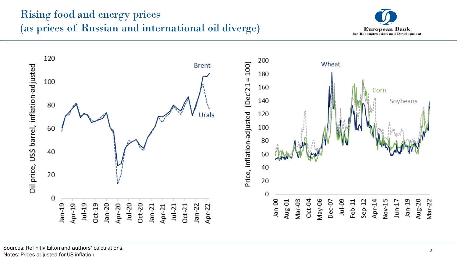# Rising food and energy prices (as prices of Russian and international oil diverge)





Sources: Refinitiv Eikon and authors' calculations. Notes: Prices adjusted for US inflation.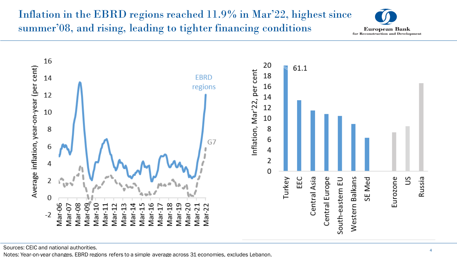# Inflation in the EBRD regions reached 11.9% in Mar'22, highest since summer'08, and rising, leading to tighter financing conditions





Sources: CEIC and national authorities.

Notes: Year-on-year changes. EBRD regions refers to a simple average across 31 economies, excludes Lebanon.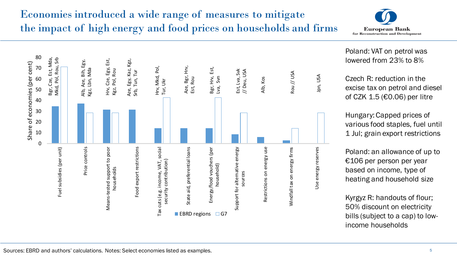# Economies introduced a wide range of measures to mitigate the impact of high energy and food prices on households and firms



80 Bgr, Cze, Est, Mda, Bgr, Cze, Est, Mda, Srb Hrv, Cze, Egy, Est, Mkd, Pol, Rou, Srb Alb, Aze, Bih, Egy, Hrv, Cze, Egy, Est,<br>Kgz, Pol, Rou<br>Aze, Egy, Kaz, Kgz, Alb, Aze, Bih, Egy, Share of economies (per cent) Share of economies (per cent) Hrv, Mkd, Pol,<br>Tur, Ukr Aze, Bgr, Hrv,<br>Est, Rou Aze, Bgr, Hrv, Mkd, Pol, Rou, Hrv, Mkd, Pol, 70 Bgr, Hrv, Est, Kgz, Lbn, Mda 3gr, Hrv, Est, Est, Lva, Svk<br>// Deu, USA Kgz, Lbn, Mda Est, Lva, Svk Srb, Tun, Tur Srb, Tun, Tur Rou // USA Jpn, USALva, Svn Alb, Kos 60 50 40 30 20 10 0 Fuel subsidies (per unit) Price controls Price controls Means-tested support to poor Means-tested support to poor -ood export restrictions Food export restrictions Tax cuts (e.g. income, VAT, social State aid, preferential loans State aid, preferential loans Fuel subsidies (per unit) Tax cuts (e.g. income, VAT, social Energy/food vouchers (per Support for alternative energy<br>sources<br>Restrictions on energy use Windfall tax on energy firms Windfall tax on energy firms Use energy reserves Use energy reserves Energy/food vouchers (per security contribution) security contribution) household) households EBRD regions  $\Box$  G7

Poland: VAT on petrol was lowered from 23% to 8%

Czech R: reduction in the excise tax on petrol and diesel of CZK 1.5 (€0.06) per litre

Hungary: Capped prices of various food staples, fuel until 1 Jul; grain export restrictions

Poland: an allowance of up to €106 per person per year based on income, type of heating and household size

Kyrgyz R: handouts of flour; 50% discount on electricity bills (subject to a cap) to lowincome households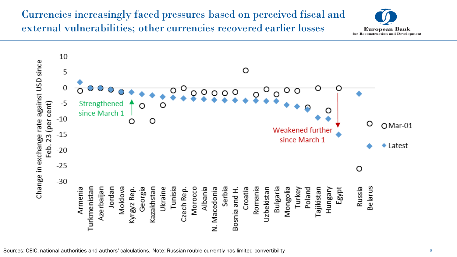### Currencies increasingly faced pressures based on perceived fiscal and external vulnerabilities; other currencies recovered earlier losses



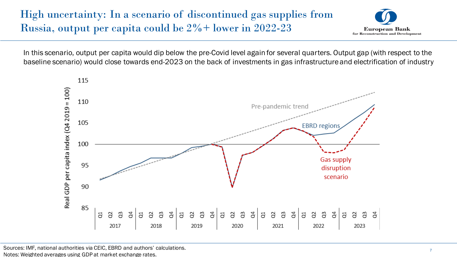# High uncertainty: In a scenario of discontinued gas supplies from Russia, output per capita could be 2%+ lower in 2022-23



In this scenario, output per capita would dip below the pre-Covid level again for several quarters. Output gap (with respect to the baseline scenario) would close towards end-2023 on the back of investments in gas infrastructure and electrification of industry



Sources: IMF, national authorities via CEIC, EBRD and authors' calculations. Notes: Weighted averages using GDP at market exchange rates.